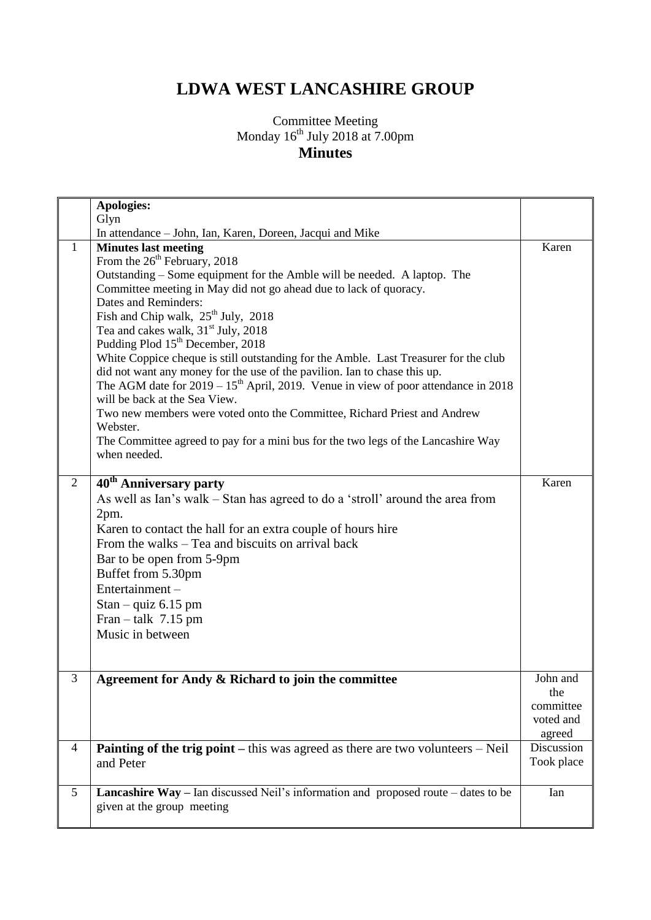## **LDWA WEST LANCASHIRE GROUP**

## Committee Meeting Monday  $16^{th}$  July 2018 at 7.00pm **Minutes**

|                | <b>Apologies:</b>                                                                                 |            |
|----------------|---------------------------------------------------------------------------------------------------|------------|
|                | Glyn                                                                                              |            |
| 1              | In attendance - John, Ian, Karen, Doreen, Jacqui and Mike                                         | Karen      |
|                | <b>Minutes last meeting</b><br>From the $26th$ February, 2018                                     |            |
|                | Outstanding – Some equipment for the Amble will be needed. A laptop. The                          |            |
|                | Committee meeting in May did not go ahead due to lack of quoracy.                                 |            |
|                | Dates and Reminders:                                                                              |            |
|                | Fish and Chip walk, 25 <sup>th</sup> July, 2018                                                   |            |
|                | Tea and cakes walk, 31 <sup>st</sup> July, 2018                                                   |            |
|                | Pudding Plod 15 <sup>th</sup> December, 2018                                                      |            |
|                | White Coppice cheque is still outstanding for the Amble. Last Treasurer for the club              |            |
|                | did not want any money for the use of the pavilion. Ian to chase this up.                         |            |
|                | The AGM date for $2019 - 15th$ April, 2019. Venue in view of poor attendance in 2018              |            |
|                | will be back at the Sea View.                                                                     |            |
|                | Two new members were voted onto the Committee, Richard Priest and Andrew                          |            |
|                | Webster.                                                                                          |            |
|                | The Committee agreed to pay for a mini bus for the two legs of the Lancashire Way<br>when needed. |            |
|                |                                                                                                   |            |
| $\overline{2}$ | 40 <sup>th</sup> Anniversary party                                                                | Karen      |
|                | As well as Ian's walk – Stan has agreed to do a 'stroll' around the area from                     |            |
|                | 2pm.                                                                                              |            |
|                | Karen to contact the hall for an extra couple of hours hire                                       |            |
|                | From the walks – Tea and biscuits on arrival back                                                 |            |
|                | Bar to be open from 5-9pm                                                                         |            |
|                | Buffet from 5.30pm                                                                                |            |
|                | Entertainment-                                                                                    |            |
|                |                                                                                                   |            |
|                | Stan – quiz $6.15$ pm                                                                             |            |
|                | Fran – talk $7.15$ pm<br>Music in between                                                         |            |
|                |                                                                                                   |            |
|                |                                                                                                   |            |
| 3              | Agreement for Andy & Richard to join the committee                                                | John and   |
|                |                                                                                                   | the        |
|                |                                                                                                   | committee  |
|                |                                                                                                   | voted and  |
|                |                                                                                                   | agreed     |
| 4              | <b>Painting of the trig point</b> $-$ this was agreed as there are two volunteers $-$ Neil        | Discussion |
|                | and Peter                                                                                         | Took place |
|                |                                                                                                   |            |
| 5              | <b>Lancashire Way</b> – Ian discussed Neil's information and proposed route – dates to be         | Ian        |
|                | given at the group meeting                                                                        |            |
|                |                                                                                                   |            |